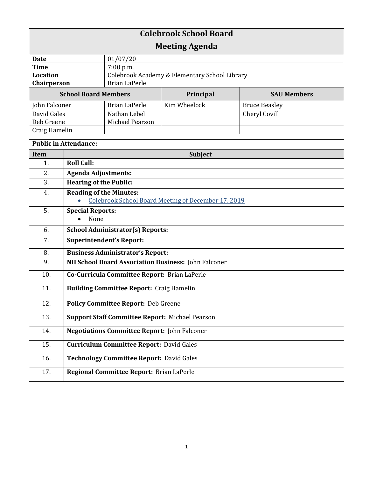| <b>Colebrook School Board</b> |                                                        |                                               |              |                      |  |
|-------------------------------|--------------------------------------------------------|-----------------------------------------------|--------------|----------------------|--|
| <b>Meeting Agenda</b>         |                                                        |                                               |              |                      |  |
| <b>Date</b>                   |                                                        | 01/07/20                                      |              |                      |  |
| <b>Time</b>                   |                                                        | 7:00 p.m.                                     |              |                      |  |
| <b>Location</b>               |                                                        | Colebrook Academy & Elementary School Library |              |                      |  |
| Chairperson                   |                                                        | <b>Brian LaPerle</b>                          |              |                      |  |
| <b>School Board Members</b>   |                                                        |                                               | Principal    | <b>SAU Members</b>   |  |
| John Falconer                 |                                                        | <b>Brian LaPerle</b>                          | Kim Wheelock | <b>Bruce Beasley</b> |  |
| David Gales                   |                                                        | Nathan Lebel                                  |              | Cheryl Covill        |  |
| Deb Greene                    |                                                        | Michael Pearson                               |              |                      |  |
| Craig Hamelin                 |                                                        |                                               |              |                      |  |
| <b>Public in Attendance:</b>  |                                                        |                                               |              |                      |  |
| <b>Item</b>                   | <b>Subject</b>                                         |                                               |              |                      |  |
| 1.                            | <b>Roll Call:</b>                                      |                                               |              |                      |  |
| 2.                            | <b>Agenda Adjustments:</b>                             |                                               |              |                      |  |
| 3.                            | <b>Hearing of the Public:</b>                          |                                               |              |                      |  |
| 4.                            | <b>Reading of the Minutes:</b>                         |                                               |              |                      |  |
|                               | Colebrook School Board Meeting of December 17, 2019    |                                               |              |                      |  |
| 5.                            | <b>Special Reports:</b>                                |                                               |              |                      |  |
|                               | None                                                   |                                               |              |                      |  |
| 6.                            | <b>School Administrator(s) Reports:</b>                |                                               |              |                      |  |
| 7.                            | <b>Superintendent's Report:</b>                        |                                               |              |                      |  |
| 8.                            | <b>Business Administrator's Report:</b>                |                                               |              |                      |  |
| 9.                            | NH School Board Association Business: John Falconer    |                                               |              |                      |  |
| 10.                           | Co-Curricula Committee Report: Brian LaPerle           |                                               |              |                      |  |
| 11.                           | <b>Building Committee Report: Craig Hamelin</b>        |                                               |              |                      |  |
| 12.                           | <b>Policy Committee Report: Deb Greene</b>             |                                               |              |                      |  |
| 13.                           | <b>Support Staff Committee Report: Michael Pearson</b> |                                               |              |                      |  |
| 14.                           | <b>Negotiations Committee Report: John Falconer</b>    |                                               |              |                      |  |
| 15.                           | <b>Curriculum Committee Report: David Gales</b>        |                                               |              |                      |  |
| 16.                           | <b>Technology Committee Report: David Gales</b>        |                                               |              |                      |  |
| 17.                           |                                                        | Regional Committee Report: Brian LaPerle      |              |                      |  |